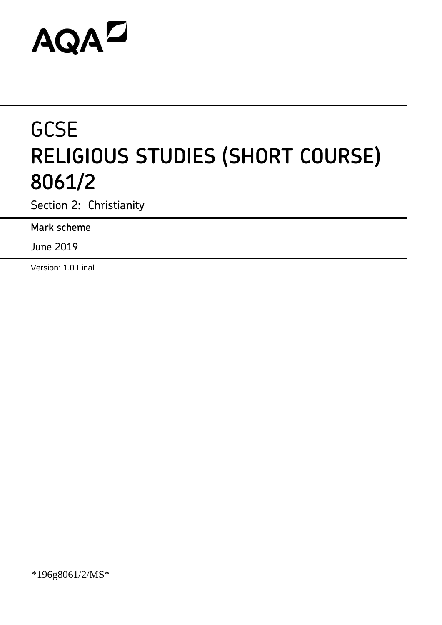# **AQAZ**

## **GCSE RELIGIOUS STUDIES (SHORT COURSE) 8061/2**

Section 2: Christianity

**Mark scheme**

June 2019

Version: 1.0 Final

\*196g8061/2/MS\*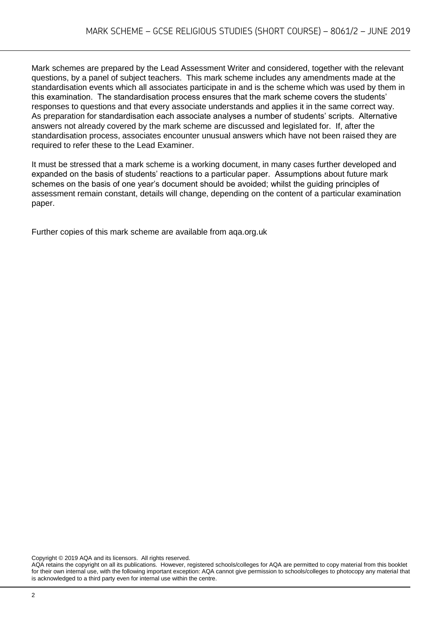Mark schemes are prepared by the Lead Assessment Writer and considered, together with the relevant questions, by a panel of subject teachers. This mark scheme includes any amendments made at the standardisation events which all associates participate in and is the scheme which was used by them in this examination. The standardisation process ensures that the mark scheme covers the students' responses to questions and that every associate understands and applies it in the same correct way. As preparation for standardisation each associate analyses a number of students' scripts. Alternative answers not already covered by the mark scheme are discussed and legislated for. If, after the standardisation process, associates encounter unusual answers which have not been raised they are required to refer these to the Lead Examiner.

It must be stressed that a mark scheme is a working document, in many cases further developed and expanded on the basis of students' reactions to a particular paper. Assumptions about future mark schemes on the basis of one year's document should be avoided; whilst the guiding principles of assessment remain constant, details will change, depending on the content of a particular examination paper.

Further copies of this mark scheme are available from aqa.org.uk

Copyright © 2019 AQA and its licensors. All rights reserved.

AQA retains the copyright on all its publications. However, registered schools/colleges for AQA are permitted to copy material from this booklet for their own internal use, with the following important exception: AQA cannot give permission to schools/colleges to photocopy any material that is acknowledged to a third party even for internal use within the centre.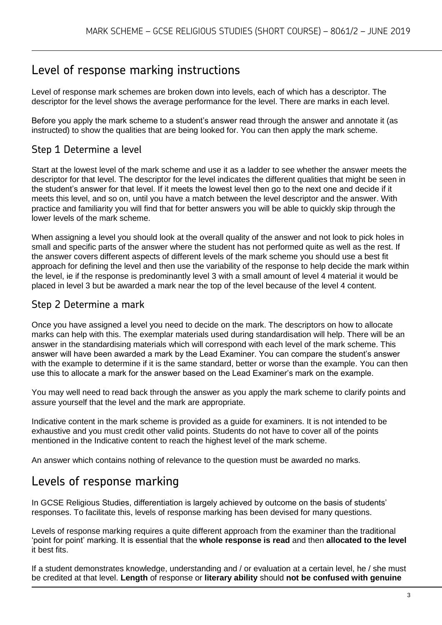#### Level of response marking instructions

Level of response mark schemes are broken down into levels, each of which has a descriptor. The descriptor for the level shows the average performance for the level. There are marks in each level.

Before you apply the mark scheme to a student's answer read through the answer and annotate it (as instructed) to show the qualities that are being looked for. You can then apply the mark scheme.

#### Step 1 Determine a level

Start at the lowest level of the mark scheme and use it as a ladder to see whether the answer meets the descriptor for that level. The descriptor for the level indicates the different qualities that might be seen in the student's answer for that level. If it meets the lowest level then go to the next one and decide if it meets this level, and so on, until you have a match between the level descriptor and the answer. With practice and familiarity you will find that for better answers you will be able to quickly skip through the lower levels of the mark scheme.

When assigning a level you should look at the overall quality of the answer and not look to pick holes in small and specific parts of the answer where the student has not performed quite as well as the rest. If the answer covers different aspects of different levels of the mark scheme you should use a best fit approach for defining the level and then use the variability of the response to help decide the mark within the level, ie if the response is predominantly level 3 with a small amount of level 4 material it would be placed in level 3 but be awarded a mark near the top of the level because of the level 4 content.

#### Step 2 Determine a mark

Once you have assigned a level you need to decide on the mark. The descriptors on how to allocate marks can help with this. The exemplar materials used during standardisation will help. There will be an answer in the standardising materials which will correspond with each level of the mark scheme. This answer will have been awarded a mark by the Lead Examiner. You can compare the student's answer with the example to determine if it is the same standard, better or worse than the example. You can then use this to allocate a mark for the answer based on the Lead Examiner's mark on the example.

You may well need to read back through the answer as you apply the mark scheme to clarify points and assure yourself that the level and the mark are appropriate.

Indicative content in the mark scheme is provided as a guide for examiners. It is not intended to be exhaustive and you must credit other valid points. Students do not have to cover all of the points mentioned in the Indicative content to reach the highest level of the mark scheme.

An answer which contains nothing of relevance to the question must be awarded no marks.

#### Levels of response marking

In GCSE Religious Studies, differentiation is largely achieved by outcome on the basis of students' responses. To facilitate this, levels of response marking has been devised for many questions.

Levels of response marking requires a quite different approach from the examiner than the traditional 'point for point' marking. It is essential that the **whole response is read** and then **allocated to the level**  it best fits.

If a student demonstrates knowledge, understanding and / or evaluation at a certain level, he / she must be credited at that level. **Length** of response or **literary ability** should **not be confused with genuine**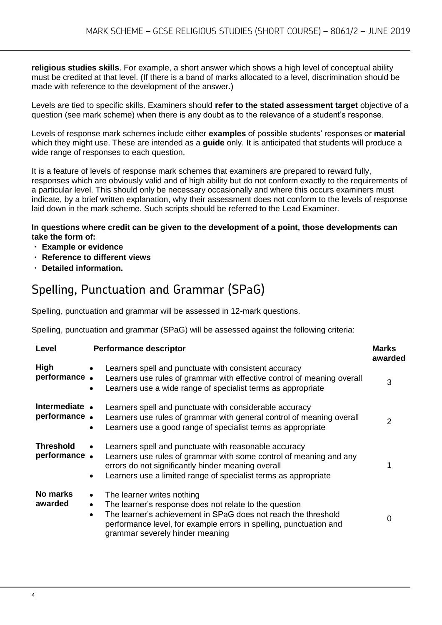**religious studies skills**. For example, a short answer which shows a high level of conceptual ability must be credited at that level. (If there is a band of marks allocated to a level, discrimination should be made with reference to the development of the answer.)

Levels are tied to specific skills. Examiners should **refer to the stated assessment target** objective of a question (see mark scheme) when there is any doubt as to the relevance of a student's response.

Levels of response mark schemes include either **examples** of possible students' responses or **material**  which they might use. These are intended as a **guide** only. It is anticipated that students will produce a wide range of responses to each question.

It is a feature of levels of response mark schemes that examiners are prepared to reward fully, responses which are obviously valid and of high ability but do not conform exactly to the requirements of a particular level. This should only be necessary occasionally and where this occurs examiners must indicate, by a brief written explanation, why their assessment does not conform to the levels of response laid down in the mark scheme. Such scripts should be referred to the Lead Examiner.

#### **In questions where credit can be given to the development of a point, those developments can take the form of:**

- **Example or evidence**
- **Reference to different views**
- **Detailed information.**

### Spelling, Punctuation and Grammar (SPaG)

Spelling, punctuation and grammar will be assessed in 12-mark questions.

Spelling, punctuation and grammar (SPaG) will be assessed against the following criteria:

| Level                            | <b>Performance descriptor</b>                                                                                                                                                                                                                                                                          | <b>Marks</b><br>awarded |
|----------------------------------|--------------------------------------------------------------------------------------------------------------------------------------------------------------------------------------------------------------------------------------------------------------------------------------------------------|-------------------------|
| <b>High</b><br>performance.      | Learners spell and punctuate with consistent accuracy<br>$\bullet$<br>Learners use rules of grammar with effective control of meaning overall<br>Learners use a wide range of specialist terms as appropriate<br>$\bullet$                                                                             | 3                       |
| Intermediate •<br>performance.   | Learners spell and punctuate with considerable accuracy<br>Learners use rules of grammar with general control of meaning overall<br>Learners use a good range of specialist terms as appropriate<br>$\bullet$                                                                                          | 2                       |
| <b>Threshold</b><br>performance. | Learners spell and punctuate with reasonable accuracy<br>$\bullet$<br>Learners use rules of grammar with some control of meaning and any<br>errors do not significantly hinder meaning overall<br>Learners use a limited range of specialist terms as appropriate<br>$\bullet$                         |                         |
| No marks<br>awarded              | The learner writes nothing<br>$\bullet$<br>The learner's response does not relate to the question<br>$\bullet$<br>The learner's achievement in SPaG does not reach the threshold<br>$\bullet$<br>performance level, for example errors in spelling, punctuation and<br>grammar severely hinder meaning |                         |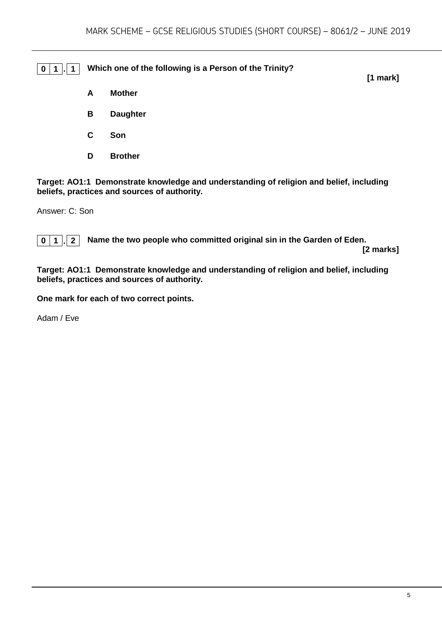**0 1 . 1 Which one of the following is a Person of the Trinity? [1 mark] A Mother B Daughter C Son D Brother**

**Target: AO1:1 Demonstrate knowledge and understanding of religion and belief, including beliefs, practices and sources of authority.**

Answer: C: Son

**0 1 . 2 Name the two people who committed original sin in the Garden of Eden.**

**[2 marks]**

**Target: AO1:1 Demonstrate knowledge and understanding of religion and belief, including beliefs, practices and sources of authority.**

**One mark for each of two correct points.** 

Adam / Eve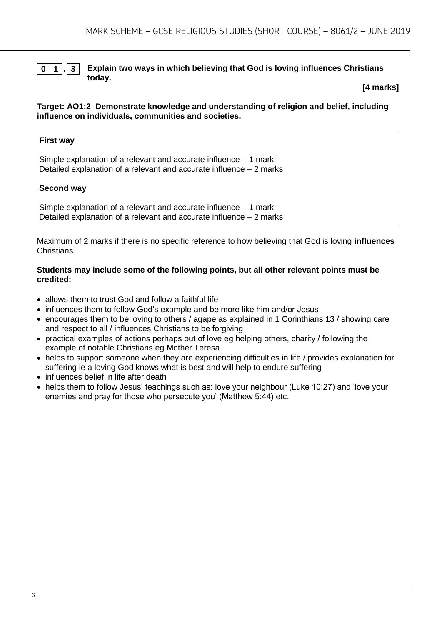

**0 1 . 3 Explain two ways in which believing that God is loving influences Christians today.**

**[4 marks]**

#### **Target: AO1:2 Demonstrate knowledge and understanding of religion and belief, including influence on individuals, communities and societies.**

#### **First way**

Simple explanation of a relevant and accurate influence – 1 mark Detailed explanation of a relevant and accurate influence – 2 marks

#### **Second way**

Simple explanation of a relevant and accurate influence – 1 mark Detailed explanation of a relevant and accurate influence – 2 marks

Maximum of 2 marks if there is no specific reference to how believing that God is loving **influences Christians** 

#### **Students may include some of the following points, but all other relevant points must be credited:**

- allows them to trust God and follow a faithful life
- influences them to follow God's example and be more like him and/or Jesus
- encourages them to be loving to others / agape as explained in 1 Corinthians 13 / showing care and respect to all / influences Christians to be forgiving
- practical examples of actions perhaps out of love eg helping others, charity / following the example of notable Christians eg Mother Teresa
- helps to support someone when they are experiencing difficulties in life / provides explanation for suffering ie a loving God knows what is best and will help to endure suffering
- influences belief in life after death
- helps them to follow Jesus' teachings such as: love your neighbour (Luke 10:27) and 'love your enemies and pray for those who persecute you' (Matthew 5:44) etc.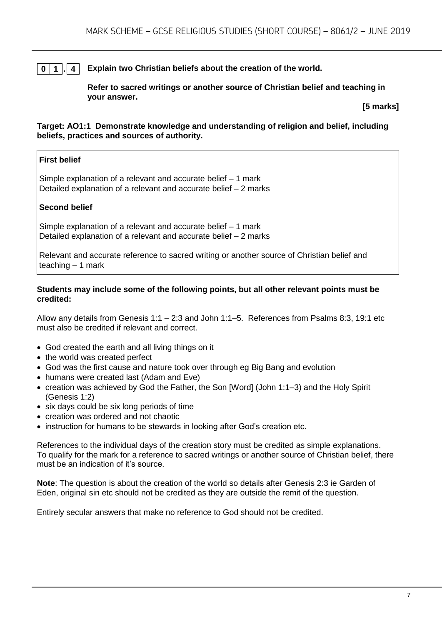#### **0 1 . 4 Explain two Christian beliefs about the creation of the world.**

**Refer to sacred writings or another source of Christian belief and teaching in your answer.**

**[5 marks]**

**Target: AO1:1 Demonstrate knowledge and understanding of religion and belief, including beliefs, practices and sources of authority.**

#### **First belief**

Simple explanation of a relevant and accurate belief – 1 mark Detailed explanation of a relevant and accurate belief – 2 marks

#### **Second belief**

Simple explanation of a relevant and accurate belief – 1 mark Detailed explanation of a relevant and accurate belief – 2 marks

Relevant and accurate reference to sacred writing or another source of Christian belief and teaching – 1 mark

#### **Students may include some of the following points, but all other relevant points must be credited:**

Allow any details from Genesis 1:1 – 2:3 and John 1:1–5. References from Psalms 8:3, 19:1 etc must also be credited if relevant and correct.

- God created the earth and all living things on it
- the world was created perfect
- God was the first cause and nature took over through eg Big Bang and evolution
- humans were created last (Adam and Eve)
- creation was achieved by God the Father, the Son [Word] (John 1:1–3) and the Holy Spirit (Genesis 1:2)
- six days could be six long periods of time
- creation was ordered and not chaotic
- instruction for humans to be stewards in looking after God's creation etc.

References to the individual days of the creation story must be credited as simple explanations. To qualify for the mark for a reference to sacred writings or another source of Christian belief, there must be an indication of it's source.

**Note**: The question is about the creation of the world so details after Genesis 2:3 ie Garden of Eden, original sin etc should not be credited as they are outside the remit of the question.

Entirely secular answers that make no reference to God should not be credited.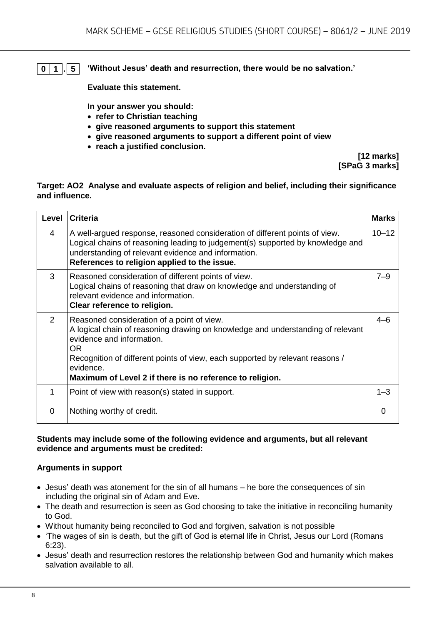**0 1 . 5 'Without Jesus' death and resurrection, there would be no salvation.'**

**Evaluate this statement.** 

**In your answer you should:**

- **refer to Christian teaching**
- **give reasoned arguments to support this statement**
- **give reasoned arguments to support a different point of view**
- **reach a justified conclusion.**

**[12 marks] [SPaG 3 marks]**

#### **Target: AO2 Analyse and evaluate aspects of religion and belief, including their significance and influence.**

| Level         | <b>Criteria</b>                                                                                                                                                                                                                                                                                                             | <b>Marks</b> |
|---------------|-----------------------------------------------------------------------------------------------------------------------------------------------------------------------------------------------------------------------------------------------------------------------------------------------------------------------------|--------------|
| 4             | A well-argued response, reasoned consideration of different points of view.<br>Logical chains of reasoning leading to judgement(s) supported by knowledge and<br>understanding of relevant evidence and information.<br>References to religion applied to the issue.                                                        | $10 - 12$    |
| 3             | Reasoned consideration of different points of view.<br>Logical chains of reasoning that draw on knowledge and understanding of<br>relevant evidence and information.<br>Clear reference to religion.                                                                                                                        | $7 - 9$      |
| $\mathcal{P}$ | Reasoned consideration of a point of view.<br>A logical chain of reasoning drawing on knowledge and understanding of relevant<br>evidence and information.<br>OR.<br>Recognition of different points of view, each supported by relevant reasons /<br>evidence.<br>Maximum of Level 2 if there is no reference to religion. | $4 - 6$      |
| 1             | Point of view with reason(s) stated in support.                                                                                                                                                                                                                                                                             | $1 - 3$      |
| $\Omega$      | Nothing worthy of credit.                                                                                                                                                                                                                                                                                                   | 0            |

#### **Students may include some of the following evidence and arguments, but all relevant evidence and arguments must be credited:**

#### **Arguments in support**

- Jesus' death was atonement for the sin of all humans he bore the consequences of sin including the original sin of Adam and Eve.
- The death and resurrection is seen as God choosing to take the initiative in reconciling humanity to God.
- Without humanity being reconciled to God and forgiven, salvation is not possible
- 'The wages of sin is death, but the gift of God is eternal life in Christ, Jesus our Lord (Romans 6:23).
- Jesus' death and resurrection restores the relationship between God and humanity which makes salvation available to all.